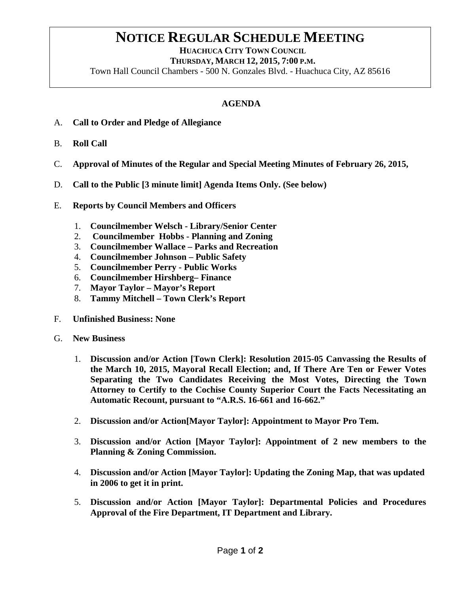## **NOTICE REGULAR SCHEDULE MEETING**<br>HUACHUCA CITY TOWN COUNCIL

 **THURSDAY, MARCH 12, 2015, 7:00 P.M.**

Town Hall Council Chambers - 500 N. Gonzales Blvd. - Huachuca City, AZ 85616

## **AGENDA**

- A. **Call to Order and Pledge of Allegiance**
- B. **Roll Call**
- C. **Approval of Minutes of the Regular and Special Meeting Minutes of February 26, 2015,**
- D. **Call to the Public [3 minute limit] Agenda Items Only. (See below)**
- E. **Reports by Council Members and Officers**
	- 1. **Councilmember Welsch - Library/Senior Center**
	- 2. **Councilmember Hobbs - Planning and Zoning**
	- 3. **Councilmember Wallace – Parks and Recreation**
	- 4. **Councilmember Johnson – Public Safety**
	- 5. **Councilmember Perry - Public Works**
	- 6. **Councilmember Hirshberg– Finance**
	- 7. **Mayor Taylor – Mayor's Report**
	- 8. **Tammy Mitchell – Town Clerk's Report**
- F. **Unfinished Business: None**
- G. **New Business**
	- 1. **Discussion and/or Action [Town Clerk]: Resolution 2015-05 Canvassing the Results of the March 10, 2015, Mayoral Recall Election; and, If There Are Ten or Fewer Votes Separating the Two Candidates Receiving the Most Votes, Directing the Town Attorney to Certify to the Cochise County Superior Court the Facts Necessitating an Automatic Recount, pursuant to "A.R.S. 16-661 and 16-662."**
	- 2. **Discussion and/or Action[Mayor Taylor]: Appointment to Mayor Pro Tem.**
	- 3. **Discussion and/or Action [Mayor Taylor]: Appointment of 2 new members to the Planning & Zoning Commission.**
	- 4. **Discussion and/or Action [Mayor Taylor]: Updating the Zoning Map, that was updated in 2006 to get it in print.**
	- 5. **Discussion and/or Action [Mayor Taylor]: Departmental Policies and Procedures Approval of the Fire Department, IT Department and Library.**